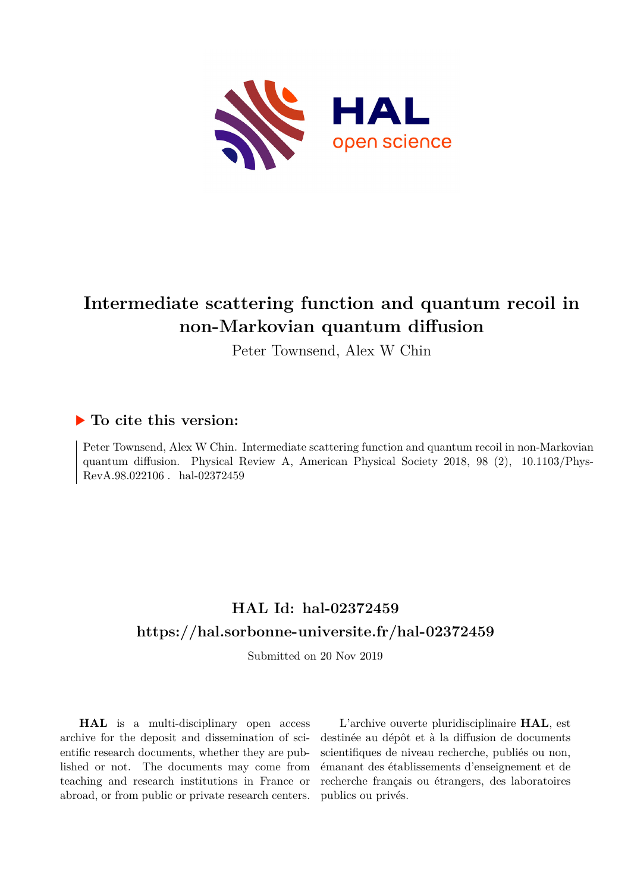

# **Intermediate scattering function and quantum recoil in non-Markovian quantum diffusion**

Peter Townsend, Alex W Chin

### **To cite this version:**

Peter Townsend, Alex W Chin. Intermediate scattering function and quantum recoil in non-Markovian quantum diffusion. Physical Review A, American Physical Society 2018, 98  $(2)$ , 10.1103/Phys- $RevA.98.022106$ . hal-02372459

## **HAL Id: hal-02372459 <https://hal.sorbonne-universite.fr/hal-02372459>**

Submitted on 20 Nov 2019

**HAL** is a multi-disciplinary open access archive for the deposit and dissemination of scientific research documents, whether they are published or not. The documents may come from teaching and research institutions in France or abroad, or from public or private research centers.

L'archive ouverte pluridisciplinaire **HAL**, est destinée au dépôt et à la diffusion de documents scientifiques de niveau recherche, publiés ou non, émanant des établissements d'enseignement et de recherche français ou étrangers, des laboratoires publics ou privés.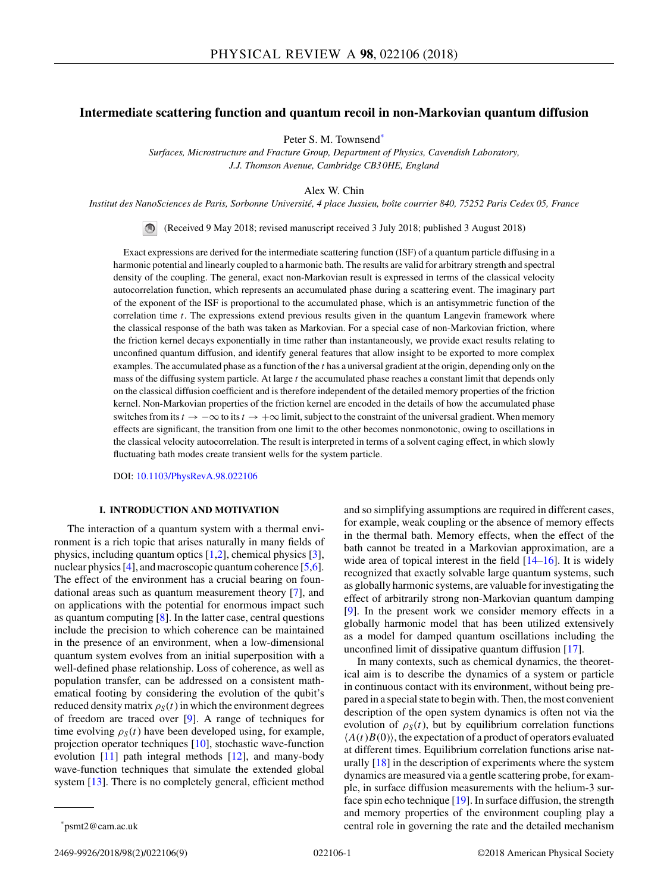#### **Intermediate scattering function and quantum recoil in non-Markovian quantum diffusion**

Peter S. M. Townsend<sup>\*</sup>

*Surfaces, Microstructure and Fracture Group, Department of Physics, Cavendish Laboratory, J.J. Thomson Avenue, Cambridge CB3 0HE, England*

Alex W. Chin

*Institut des NanoSciences de Paris, Sorbonne Université, 4 place Jussieu, boîte courrier 840, 75252 Paris Cedex 05, France*

(Received 9 May 2018; revised manuscript received 3 July 2018; published 3 August 2018)

Exact expressions are derived for the intermediate scattering function (ISF) of a quantum particle diffusing in a harmonic potential and linearly coupled to a harmonic bath. The results are valid for arbitrary strength and spectral density of the coupling. The general, exact non-Markovian result is expressed in terms of the classical velocity autocorrelation function, which represents an accumulated phase during a scattering event. The imaginary part of the exponent of the ISF is proportional to the accumulated phase, which is an antisymmetric function of the correlation time *t*. The expressions extend previous results given in the quantum Langevin framework where the classical response of the bath was taken as Markovian. For a special case of non-Markovian friction, where the friction kernel decays exponentially in time rather than instantaneously, we provide exact results relating to unconfined quantum diffusion, and identify general features that allow insight to be exported to more complex examples. The accumulated phase as a function of the *t* has a universal gradient at the origin, depending only on the mass of the diffusing system particle. At large *t* the accumulated phase reaches a constant limit that depends only on the classical diffusion coefficient and is therefore independent of the detailed memory properties of the friction kernel. Non-Markovian properties of the friction kernel are encoded in the details of how the accumulated phase switches from its *t* → −∞ to its *t* → +∞ limit, subject to the constraint of the universal gradient. When memory effects are significant, the transition from one limit to the other becomes nonmonotonic, owing to oscillations in the classical velocity autocorrelation. The result is interpreted in terms of a solvent caging effect, in which slowly fluctuating bath modes create transient wells for the system particle.

DOI: [10.1103/PhysRevA.98.022106](https://doi.org/10.1103/PhysRevA.98.022106)

#### **I. INTRODUCTION AND MOTIVATION**

The interaction of a quantum system with a thermal environment is a rich topic that arises naturally in many fields of physics, including quantum optics [1,2], chemical physics [3], nuclear physics [4], and macroscopic quantum coherence [5,6]. The effect of the environment has a crucial bearing on foundational areas such as quantum measurement theory [7], and on applications with the potential for enormous impact such as quantum computing [8]. In the latter case, central questions include the precision to which coherence can be maintained in the presence of an environment, when a low-dimensional quantum system evolves from an initial superposition with a well-defined phase relationship. Loss of coherence, as well as population transfer, can be addressed on a consistent mathematical footing by considering the evolution of the qubit's reduced density matrix  $\rho_S(t)$  in which the environment degrees of freedom are traced over [9]. A range of techniques for time evolving  $\rho_S(t)$  have been developed using, for example, projection operator techniques [10], stochastic wave-function evolution  $[11]$  path integral methods  $[12]$ , and many-body wave-function techniques that simulate the extended global system [13]. There is no completely general, efficient method

In many contexts, such as chemical dynamics, the theoretical aim is to describe the dynamics of a system or particle in continuous contact with its environment, without being prepared in a special state to begin with. Then, the most convenient description of the open system dynamics is often not via the evolution of  $\rho_S(t)$ , but by equilibrium correlation functions  $\langle A(t)B(0) \rangle$ , the expectation of a product of operators evaluated at different times. Equilibrium correlation functions arise naturally [18] in the description of experiments where the system dynamics are measured via a gentle scattering probe, for example, in surface diffusion measurements with the helium-3 surface spin echo technique [19]. In surface diffusion, the strength and memory properties of the environment coupling play a central role in governing the rate and the detailed mechanism

and so simplifying assumptions are required in different cases, for example, weak coupling or the absence of memory effects in the thermal bath. Memory effects, when the effect of the bath cannot be treated in a Markovian approximation, are a wide area of topical interest in the field  $[14–16]$ . It is widely recognized that exactly solvable large quantum systems, such as globally harmonic systems, are valuable for investigating the effect of arbitrarily strong non-Markovian quantum damping [9]. In the present work we consider memory effects in a globally harmonic model that has been utilized extensively as a model for damped quantum oscillations including the unconfined limit of dissipative quantum diffusion [17].

<sup>\*</sup>psmt2@cam.ac.uk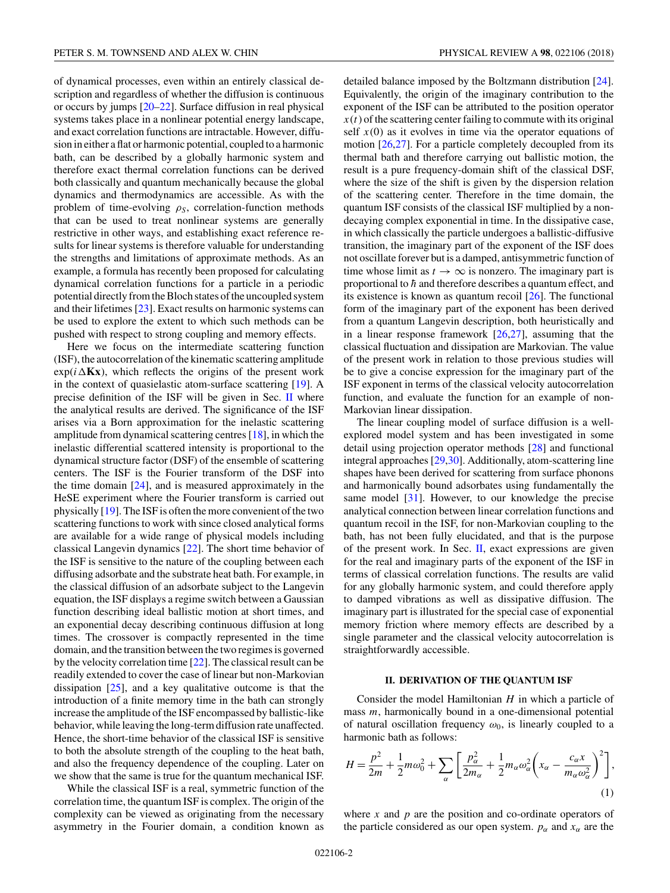of dynamical processes, even within an entirely classical description and regardless of whether the diffusion is continuous or occurs by jumps [20–22]. Surface diffusion in real physical systems takes place in a nonlinear potential energy landscape, and exact correlation functions are intractable. However, diffusion in either a flat or harmonic potential, coupled to a harmonic bath, can be described by a globally harmonic system and therefore exact thermal correlation functions can be derived both classically and quantum mechanically because the global dynamics and thermodynamics are accessible. As with the problem of time-evolving  $\rho_S$ , correlation-function methods that can be used to treat nonlinear systems are generally restrictive in other ways, and establishing exact reference results for linear systems is therefore valuable for understanding the strengths and limitations of approximate methods. As an example, a formula has recently been proposed for calculating dynamical correlation functions for a particle in a periodic potential directly from the Bloch states of the uncoupled system and their lifetimes [23]. Exact results on harmonic systems can be used to explore the extent to which such methods can be pushed with respect to strong coupling and memory effects.

Here we focus on the intermediate scattering function (ISF), the autocorrelation of the kinematic scattering amplitude  $\exp(i\Delta \mathbf{Kx})$ , which reflects the origins of the present work in the context of quasielastic atom-surface scattering [19]. A precise definition of the ISF will be given in Sec. II where the analytical results are derived. The significance of the ISF arises via a Born approximation for the inelastic scattering amplitude from dynamical scattering centres [18], in which the inelastic differential scattered intensity is proportional to the dynamical structure factor (DSF) of the ensemble of scattering centers. The ISF is the Fourier transform of the DSF into the time domain [24], and is measured approximately in the HeSE experiment where the Fourier transform is carried out physically [19]. The ISF is often the more convenient of the two scattering functions to work with since closed analytical forms are available for a wide range of physical models including classical Langevin dynamics [22]. The short time behavior of the ISF is sensitive to the nature of the coupling between each diffusing adsorbate and the substrate heat bath. For example, in the classical diffusion of an adsorbate subject to the Langevin equation, the ISF displays a regime switch between a Gaussian function describing ideal ballistic motion at short times, and an exponential decay describing continuous diffusion at long times. The crossover is compactly represented in the time domain, and the transition between the two regimes is governed by the velocity correlation time [22]. The classical result can be readily extended to cover the case of linear but non-Markovian dissipation [25], and a key qualitative outcome is that the introduction of a finite memory time in the bath can strongly increase the amplitude of the ISF encompassed by ballistic-like behavior, while leaving the long-term diffusion rate unaffected. Hence, the short-time behavior of the classical ISF is sensitive to both the absolute strength of the coupling to the heat bath, and also the frequency dependence of the coupling. Later on we show that the same is true for the quantum mechanical ISF.

While the classical ISF is a real, symmetric function of the correlation time, the quantum ISF is complex. The origin of the complexity can be viewed as originating from the necessary asymmetry in the Fourier domain, a condition known as

detailed balance imposed by the Boltzmann distribution [24]. Equivalently, the origin of the imaginary contribution to the exponent of the ISF can be attributed to the position operator  $x(t)$  of the scattering center failing to commute with its original self  $x(0)$  as it evolves in time via the operator equations of motion [26,27]. For a particle completely decoupled from its thermal bath and therefore carrying out ballistic motion, the result is a pure frequency-domain shift of the classical DSF, where the size of the shift is given by the dispersion relation of the scattering center. Therefore in the time domain, the quantum ISF consists of the classical ISF multiplied by a nondecaying complex exponential in time. In the dissipative case, in which classically the particle undergoes a ballistic-diffusive transition, the imaginary part of the exponent of the ISF does not oscillate forever but is a damped, antisymmetric function of time whose limit as  $t \to \infty$  is nonzero. The imaginary part is proportional to  $\hbar$  and therefore describes a quantum effect, and its existence is known as quantum recoil [26]. The functional form of the imaginary part of the exponent has been derived from a quantum Langevin description, both heuristically and in a linear response framework [26,27], assuming that the classical fluctuation and dissipation are Markovian. The value of the present work in relation to those previous studies will be to give a concise expression for the imaginary part of the ISF exponent in terms of the classical velocity autocorrelation function, and evaluate the function for an example of non-Markovian linear dissipation.

The linear coupling model of surface diffusion is a wellexplored model system and has been investigated in some detail using projection operator methods [28] and functional integral approaches [29,30]. Additionally, atom-scattering line shapes have been derived for scattering from surface phonons and harmonically bound adsorbates using fundamentally the same model [31]. However, to our knowledge the precise analytical connection between linear correlation functions and quantum recoil in the ISF, for non-Markovian coupling to the bath, has not been fully elucidated, and that is the purpose of the present work. In Sec. II, exact expressions are given for the real and imaginary parts of the exponent of the ISF in terms of classical correlation functions. The results are valid for any globally harmonic system, and could therefore apply to damped vibrations as well as dissipative diffusion. The imaginary part is illustrated for the special case of exponential memory friction where memory effects are described by a single parameter and the classical velocity autocorrelation is straightforwardly accessible.

#### **II. DERIVATION OF THE QUANTUM ISF**

Consider the model Hamiltonian *H* in which a particle of mass *m*, harmonically bound in a one-dimensional potential of natural oscillation frequency  $\omega_0$ , is linearly coupled to a harmonic bath as follows:

$$
H = \frac{p^2}{2m} + \frac{1}{2}m\omega_0^2 + \sum_{\alpha} \left[ \frac{p_{\alpha}^2}{2m_{\alpha}} + \frac{1}{2}m_{\alpha}\omega_{\alpha}^2 \left( x_{\alpha} - \frac{c_{\alpha}x}{m_{\alpha}\omega_{\alpha}^2} \right)^2 \right],
$$
\n(1)

where *x* and *p* are the position and co-ordinate operators of the particle considered as our open system.  $p_{\alpha}$  and  $x_{\alpha}$  are the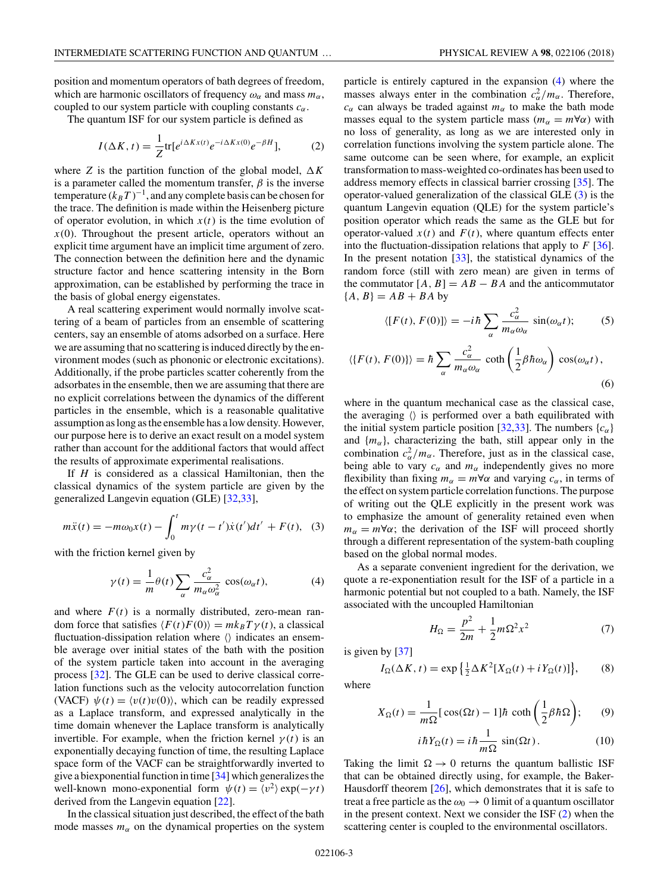position and momentum operators of bath degrees of freedom, which are harmonic oscillators of frequency  $\omega_{\alpha}$  and mass  $m_{\alpha}$ , coupled to our system particle with coupling constants  $c_{\alpha}$ .

The quantum ISF for our system particle is defined as

$$
I(\Delta K, t) = \frac{1}{Z} \text{tr}[e^{i\Delta K x(t)} e^{-i\Delta K x(0)} e^{-\beta H}], \tag{2}
$$

where  $Z$  is the partition function of the global model,  $\Delta K$ is a parameter called the momentum transfer,  $\beta$  is the inverse temperature  $(k_B T)^{-1}$ , and any complete basis can be chosen for the trace. The definition is made within the Heisenberg picture of operator evolution, in which  $x(t)$  is the time evolution of  $x(0)$ . Throughout the present article, operators without an explicit time argument have an implicit time argument of zero. The connection between the definition here and the dynamic structure factor and hence scattering intensity in the Born approximation, can be established by performing the trace in the basis of global energy eigenstates.

A real scattering experiment would normally involve scattering of a beam of particles from an ensemble of scattering centers, say an ensemble of atoms adsorbed on a surface. Here we are assuming that no scattering is induced directly by the environment modes (such as phononic or electronic excitations). Additionally, if the probe particles scatter coherently from the adsorbates in the ensemble, then we are assuming that there are no explicit correlations between the dynamics of the different particles in the ensemble, which is a reasonable qualitative assumption as long as the ensemble has a low density. However, our purpose here is to derive an exact result on a model system rather than account for the additional factors that would affect the results of approximate experimental realisations.

If *H* is considered as a classical Hamiltonian, then the classical dynamics of the system particle are given by the generalized Langevin equation (GLE) [32,33],

$$
m\ddot{x}(t) = -m\omega_0 x(t) - \int_0^t m\gamma(t - t')\dot{x}(t')dt' + F(t), \quad (3)
$$

with the friction kernel given by

$$
\gamma(t) = \frac{1}{m}\theta(t) \sum_{\alpha} \frac{c_{\alpha}^2}{m_{\alpha}\omega_{\alpha}^2} \cos(\omega_{\alpha}t),\tag{4}
$$

and where  $F(t)$  is a normally distributed, zero-mean random force that satisfies  $\langle F(t)F(0) \rangle = mk_BT\gamma(t)$ , a classical fluctuation-dissipation relation where  $\langle \rangle$  indicates an ensemble average over initial states of the bath with the position of the system particle taken into account in the averaging process [32]. The GLE can be used to derive classical correlation functions such as the velocity autocorrelation function (VACF)  $\psi(t) = \langle v(t)v(0) \rangle$ , which can be readily expressed as a Laplace transform, and expressed analytically in the time domain whenever the Laplace transform is analytically invertible. For example, when the friction kernel  $\gamma(t)$  is an exponentially decaying function of time, the resulting Laplace space form of the VACF can be straightforwardly inverted to give a biexponential function in time [34] which generalizes the well-known mono-exponential form  $\psi(t) = \langle v^2 \rangle \exp(-\gamma t)$ derived from the Langevin equation [22].

In the classical situation just described, the effect of the bath mode masses  $m_\alpha$  on the dynamical properties on the system particle is entirely captured in the expansion (4) where the masses always enter in the combination  $c_{\alpha}^2/m_{\alpha}$ . Therefore,  $c_{\alpha}$  can always be traded against  $m_{\alpha}$  to make the bath mode masses equal to the system particle mass ( $m_\alpha = m \forall \alpha$ ) with no loss of generality, as long as we are interested only in correlation functions involving the system particle alone. The same outcome can be seen where, for example, an explicit transformation to mass-weighted co-ordinates has been used to address memory effects in classical barrier crossing [35]. The operator-valued generalization of the classical GLE (3) is the quantum Langevin equation (QLE) for the system particle's position operator which reads the same as the GLE but for operator-valued  $x(t)$  and  $F(t)$ , where quantum effects enter into the fluctuation-dissipation relations that apply to *F* [36]. In the present notation  $[33]$ , the statistical dynamics of the random force (still with zero mean) are given in terms of the commutator  $[A, B] = AB - BA$  and the anticommutator  ${A, B} = AB + BA$  by

$$
\langle [F(t), F(0)] \rangle = -i\hbar \sum_{\alpha} \frac{c_{\alpha}^2}{m_{\alpha} \omega_{\alpha}} \sin(\omega_{\alpha} t); \tag{5}
$$

$$
\langle \{F(t), F(0)\}\rangle = \hbar \sum_{\alpha} \frac{c_{\alpha}^2}{m_{\alpha}\omega_{\alpha}} \coth\left(\frac{1}{2}\beta \hbar \omega_{\alpha}\right) \cos(\omega_{\alpha}t), \tag{6}
$$

where in the quantum mechanical case as the classical case, the averaging  $\langle \rangle$  is performed over a bath equilibrated with the initial system particle position  $[32,33]$ . The numbers  $\{c_{\alpha}\}\$ and  ${m<sub>\alpha</sub>}$ , characterizing the bath, still appear only in the combination  $c_{\alpha}^2/m_{\alpha}$ . Therefore, just as in the classical case, being able to vary  $c_{\alpha}$  and  $m_{\alpha}$  independently gives no more flexibility than fixing  $m_\alpha = m \forall \alpha$  and varying  $c_\alpha$ , in terms of the effect on system particle correlation functions. The purpose of writing out the QLE explicitly in the present work was to emphasize the amount of generality retained even when  $m_{\alpha} = m \forall \alpha$ ; the derivation of the ISF will proceed shortly through a different representation of the system-bath coupling based on the global normal modes.

As a separate convenient ingredient for the derivation, we quote a re-exponentiation result for the ISF of a particle in a harmonic potential but not coupled to a bath. Namely, the ISF associated with the uncoupled Hamiltonian

$$
H_{\Omega} = \frac{p^2}{2m} + \frac{1}{2}m\Omega^2 x^2
$$
 (7)

is given by [37]

where

$$
I_{\Omega}(\Delta K, t) = \exp\left\{\frac{1}{2}\Delta K^2[X_{\Omega}(t) + iY_{\Omega}(t)]\right\},\tag{8}
$$

$$
X_{\Omega}(t) = \frac{1}{m\Omega} [\cos(\Omega t) - 1] \hbar \coth\left(\frac{1}{2}\beta \hbar \Omega\right); \qquad (9)
$$

$$
i\hbar Y_{\Omega}(t) = i\hbar \frac{1}{m\Omega} \sin(\Omega t). \tag{10}
$$

Taking the limit  $\Omega \rightarrow 0$  returns the quantum ballistic ISF that can be obtained directly using, for example, the Baker-Hausdorff theorem  $[26]$ , which demonstrates that it is safe to treat a free particle as the  $\omega_0 \rightarrow 0$  limit of a quantum oscillator in the present context. Next we consider the ISF (2) when the scattering center is coupled to the environmental oscillators.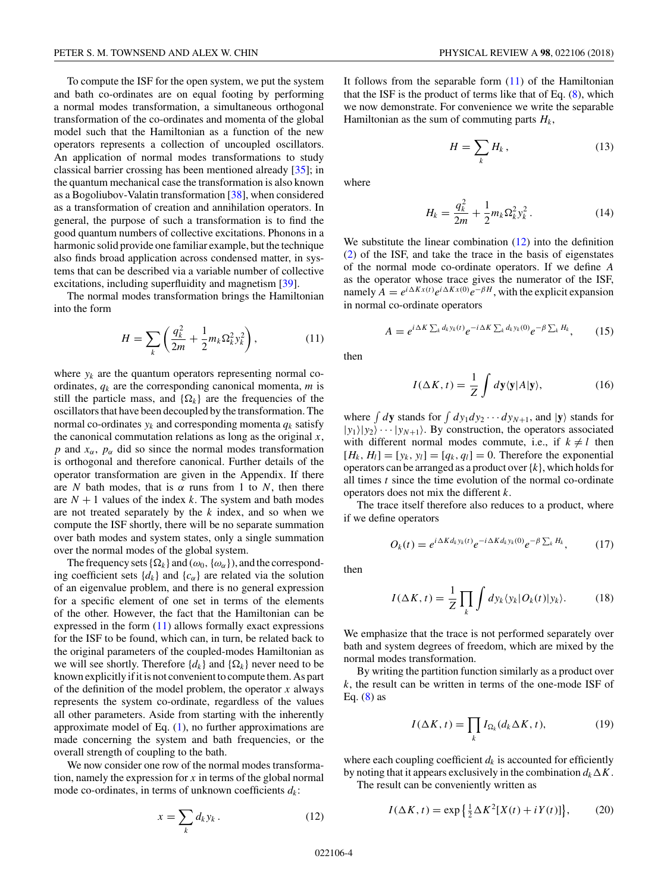To compute the ISF for the open system, we put the system and bath co-ordinates are on equal footing by performing a normal modes transformation, a simultaneous orthogonal transformation of the co-ordinates and momenta of the global model such that the Hamiltonian as a function of the new operators represents a collection of uncoupled oscillators. An application of normal modes transformations to study classical barrier crossing has been mentioned already [35]; in the quantum mechanical case the transformation is also known as a Bogoliubov-Valatin transformation [38], when considered as a transformation of creation and annihilation operators. In general, the purpose of such a transformation is to find the good quantum numbers of collective excitations. Phonons in a harmonic solid provide one familiar example, but the technique also finds broad application across condensed matter, in systems that can be described via a variable number of collective excitations, including superfluidity and magnetism [39].

The normal modes transformation brings the Hamiltonian into the form

$$
H = \sum_{k} \left( \frac{q_k^2}{2m} + \frac{1}{2} m_k \Omega_k^2 y_k^2 \right),
$$
 (11)

where  $y_k$  are the quantum operators representing normal coordinates, *qk* are the corresponding canonical momenta, *m* is still the particle mass, and  $\{\Omega_k\}$  are the frequencies of the oscillators that have been decoupled by the transformation. The normal co-ordinates  $y_k$  and corresponding momenta  $q_k$  satisfy the canonical commutation relations as long as the original *x*, *p* and  $x_\alpha$ ,  $p_\alpha$  did so since the normal modes transformation is orthogonal and therefore canonical. Further details of the operator transformation are given in the Appendix. If there are *N* bath modes, that is  $\alpha$  runs from 1 to *N*, then there are  $N + 1$  values of the index k. The system and bath modes are not treated separately by the *k* index, and so when we compute the ISF shortly, there will be no separate summation over bath modes and system states, only a single summation over the normal modes of the global system.

The frequency sets  $\{\Omega_k\}$  and  $(\omega_0, {\omega_\alpha}\})$ , and the corresponding coefficient sets  $\{d_k\}$  and  $\{c_\alpha\}$  are related via the solution of an eigenvalue problem, and there is no general expression for a specific element of one set in terms of the elements of the other. However, the fact that the Hamiltonian can be expressed in the form  $(11)$  allows formally exact expressions for the ISF to be found, which can, in turn, be related back to the original parameters of the coupled-modes Hamiltonian as we will see shortly. Therefore  $\{d_k\}$  and  $\{\Omega_k\}$  never need to be known explicitly if it is not convenient to compute them. As part of the definition of the model problem, the operator *x* always represents the system co-ordinate, regardless of the values all other parameters. Aside from starting with the inherently approximate model of Eq. (1), no further approximations are made concerning the system and bath frequencies, or the overall strength of coupling to the bath.

We now consider one row of the normal modes transformation, namely the expression for *x* in terms of the global normal mode co-ordinates, in terms of unknown coefficients  $d_k$ :

$$
x = \sum_{k} d_k y_k. \tag{12}
$$

It follows from the separable form  $(11)$  of the Hamiltonian that the ISF is the product of terms like that of Eq.  $(8)$ , which we now demonstrate. For convenience we write the separable Hamiltonian as the sum of commuting parts *Hk*,

$$
H = \sum_{k} H_k, \qquad (13)
$$

where

$$
H_k = \frac{q_k^2}{2m} + \frac{1}{2} m_k \Omega_k^2 y_k^2.
$$
 (14)

We substitute the linear combination  $(12)$  into the definition (2) of the ISF, and take the trace in the basis of eigenstates of the normal mode co-ordinate operators. If we define *A* as the operator whose trace gives the numerator of the ISF, namely  $\overline{A} = e^{i \Delta K x(t)} e^{i \Delta K x(0)} e^{-\beta H}$ , with the explicit expansion in normal co-ordinate operators

$$
A = e^{i\Delta K \sum_k d_k y_k(t)} e^{-i\Delta K \sum_k d_k y_k(0)} e^{-\beta \sum_k H_k}, \qquad (15)
$$

then

$$
I(\Delta K, t) = \frac{1}{Z} \int d\mathbf{y} \langle \mathbf{y} | A | \mathbf{y} \rangle, \tag{16}
$$

where  $\int dy$  stands for  $\int dy_1 dy_2 \cdots dy_{N+1}$ , and  $|y\rangle$  stands for  $|y_1\rangle|y_2\rangle \cdots |y_{N+1}\rangle$ . By construction, the operators associated with different normal modes commute, i.e., if  $k \neq l$  then  $[H_k, H_l] = [y_k, y_l] = [q_k, q_l] = 0$ . Therefore the exponential operators can be arranged as a product over{*k*}, which holds for all times *t* since the time evolution of the normal co-ordinate operators does not mix the different *k*.

The trace itself therefore also reduces to a product, where if we define operators

$$
O_k(t) = e^{i\Delta K d_k y_k(t)} e^{-i\Delta K d_k y_k(0)} e^{-\beta \sum_k H_k}, \qquad (17)
$$

then

$$
I(\Delta K, t) = \frac{1}{Z} \prod_{k} \int dy_k \langle y_k | O_k(t) | y_k \rangle.
$$
 (18)

We emphasize that the trace is not performed separately over bath and system degrees of freedom, which are mixed by the normal modes transformation.

By writing the partition function similarly as a product over *k*, the result can be written in terms of the one-mode ISF of Eq.  $(8)$  as

$$
I(\Delta K, t) = \prod_{k} I_{\Omega_k}(d_k \Delta K, t), \qquad (19)
$$

where each coupling coefficient  $d_k$  is accounted for efficiently by noting that it appears exclusively in the combination  $d_k \Delta K$ .

The result can be conveniently written as

$$
I(\Delta K, t) = \exp\left\{\frac{1}{2}\Delta K^2[X(t) + iY(t)]\right\},\qquad(20)
$$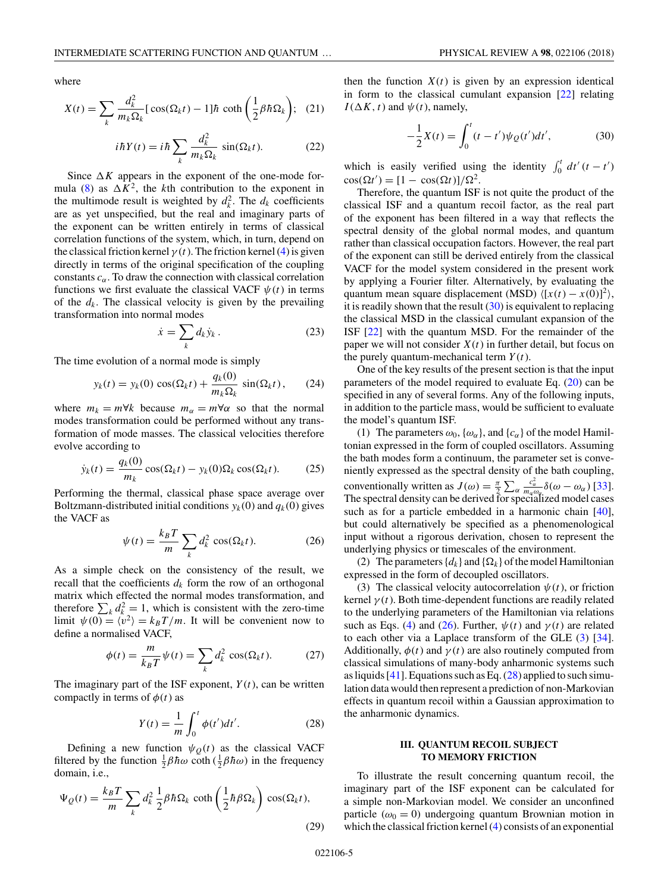where

$$
X(t) = \sum_{k} \frac{d_k^2}{m_k \Omega_k} \left[ \cos(\Omega_k t) - 1 \right] \hbar \coth\left(\frac{1}{2} \beta \hbar \Omega_k\right); \quad (21)
$$

$$
i\hbar Y(t) = i\hbar \sum_{k} \frac{d_k^2}{m_k \Omega_k} \sin(\Omega_k t). \tag{22}
$$

Since  $\Delta K$  appears in the exponent of the one-mode formula (8) as  $\Delta K^2$ , the *k*th contribution to the exponent in the multimode result is weighted by  $d_k^2$ . The  $d_k$  coefficients are as yet unspecified, but the real and imaginary parts of the exponent can be written entirely in terms of classical correlation functions of the system, which, in turn, depend on the classical friction kernel  $\gamma(t)$ . The friction kernel (4) is given directly in terms of the original specification of the coupling constants  $c_{\alpha}$ . To draw the connection with classical correlation functions we first evaluate the classical VACF  $\psi(t)$  in terms of the  $d_k$ . The classical velocity is given by the prevailing transformation into normal modes

$$
\dot{x} = \sum_{k} d_k \dot{y}_k . \tag{23}
$$

The time evolution of a normal mode is simply

$$
y_k(t) = y_k(0)\cos(\Omega_k t) + \frac{q_k(0)}{m_k \Omega_k} \sin(\Omega_k t), \qquad (24)
$$

where  $m_k = m \forall k$  because  $m_\alpha = m \forall \alpha$  so that the normal modes transformation could be performed without any transformation of mode masses. The classical velocities therefore evolve according to

$$
\dot{y}_k(t) = \frac{q_k(0)}{m_k} \cos(\Omega_k t) - y_k(0)\Omega_k \cos(\Omega_k t). \tag{25}
$$

Performing the thermal, classical phase space average over Boltzmann-distributed initial conditions  $y_k(0)$  and  $q_k(0)$  gives the VACF as

$$
\psi(t) = \frac{k_B T}{m} \sum_k d_k^2 \cos(\Omega_k t). \tag{26}
$$

As a simple check on the consistency of the result, we recall that the coefficients  $d_k$  form the row of an orthogonal matrix which effected the normal modes transformation, and therefore  $\sum_{k} d_{k}^{2} = 1$ , which is consistent with the zero-time limit  $\psi(0) = \langle v^2 \rangle = k_B T/m$ . It will be convenient now to define a normalised VACF,

$$
\phi(t) = \frac{m}{k_B T} \psi(t) = \sum_k d_k^2 \cos(\Omega_k t). \tag{27}
$$

The imaginary part of the ISF exponent,  $Y(t)$ , can be written compactly in terms of  $\phi(t)$  as

$$
Y(t) = \frac{1}{m} \int_0^t \phi(t')dt'.
$$
 (28)

Defining a new function  $\psi_Q(t)$  as the classical VACF filtered by the function  $\frac{1}{2}\beta \hbar \omega \coth (\frac{1}{2}\beta \hbar \omega)$  in the frequency domain, i.e.,

$$
\Psi_Q(t) = \frac{k_B T}{m} \sum_k d_k^2 \frac{1}{2} \beta \hbar \Omega_k \coth\left(\frac{1}{2} \hbar \beta \Omega_k\right) \cos(\Omega_k t),\tag{29}
$$

then the function  $X(t)$  is given by an expression identical in form to the classical cumulant expansion [22] relating  $I(\Delta K, t)$  and  $\psi(t)$ , namely,

$$
-\frac{1}{2}X(t) = \int_0^t (t - t')\psi_Q(t')dt',
$$
 (30)

which is easily verified using the identity  $\int_0^t dt'(t-t')$  $\cos(\Omega t') = [1 - \cos(\Omega t)]/\Omega^2$ .

Therefore, the quantum ISF is not quite the product of the classical ISF and a quantum recoil factor, as the real part of the exponent has been filtered in a way that reflects the spectral density of the global normal modes, and quantum rather than classical occupation factors. However, the real part of the exponent can still be derived entirely from the classical VACF for the model system considered in the present work by applying a Fourier filter. Alternatively, by evaluating the quantum mean square displacement (MSD)  $\langle [x(t) - x(0)]^2 \rangle$ , it is readily shown that the result  $(30)$  is equivalent to replacing the classical MSD in the classical cumulant expansion of the ISF [22] with the quantum MSD. For the remainder of the paper we will not consider  $X(t)$  in further detail, but focus on the purely quantum-mechanical term  $Y(t)$ .

One of the key results of the present section is that the input parameters of the model required to evaluate Eq.  $(20)$  can be specified in any of several forms. Any of the following inputs, in addition to the particle mass, would be sufficient to evaluate the model's quantum ISF.

(1) The parameters  $\omega_0$ ,  $\{\omega_\alpha\}$ , and  $\{c_\alpha\}$  of the model Hamiltonian expressed in the form of coupled oscillators. Assuming the bath modes form a continuum, the parameter set is conveniently expressed as the spectral density of the bath coupling, conventionally written as  $J(\omega) = \frac{\pi}{2} \sum_{\alpha} \frac{c_{\alpha}^2}{m_q \omega_{\alpha}} \delta(\omega - \omega_{\alpha})$  [33]. The spectral density can be derived for specialized model cases such as for a particle embedded in a harmonic chain [40], but could alternatively be specified as a phenomenological input without a rigorous derivation, chosen to represent the underlying physics or timescales of the environment.

(2) The parameters  $\{d_k\}$  and  $\{\Omega_k\}$  of the model Hamiltonian expressed in the form of decoupled oscillators.

(3) The classical velocity autocorrelation  $\psi(t)$ , or friction kernel  $\gamma(t)$ . Both time-dependent functions are readily related to the underlying parameters of the Hamiltonian via relations such as Eqs. (4) and (26). Further,  $\psi(t)$  and  $\gamma(t)$  are related to each other via a Laplace transform of the GLE (3) [34]. Additionally,  $\phi(t)$  and  $\gamma(t)$  are also routinely computed from classical simulations of many-body anharmonic systems such as liquids  $[41]$ . Equations such as Eq.  $(28)$  applied to such simulation data would then represent a prediction of non-Markovian effects in quantum recoil within a Gaussian approximation to the anharmonic dynamics.

#### **III. QUANTUM RECOIL SUBJECT TO MEMORY FRICTION**

To illustrate the result concerning quantum recoil, the imaginary part of the ISF exponent can be calculated for a simple non-Markovian model. We consider an unconfined particle  $(\omega_0 = 0)$  undergoing quantum Brownian motion in which the classical friction kernel (4) consists of an exponential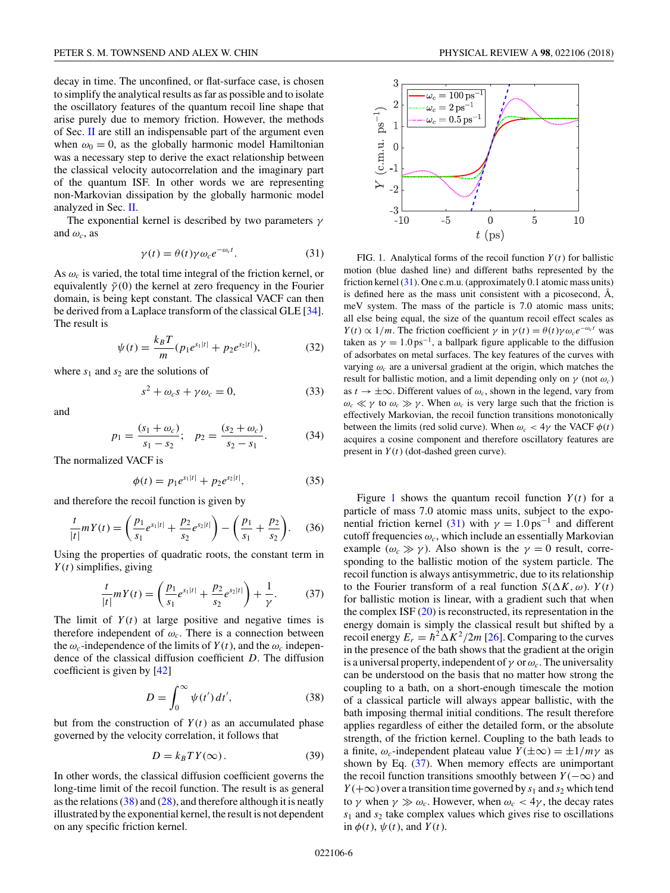decay in time. The unconfined, or flat-surface case, is chosen to simplify the analytical results as far as possible and to isolate the oscillatory features of the quantum recoil line shape that arise purely due to memory friction. However, the methods of Sec. II are still an indispensable part of the argument even when  $\omega_0 = 0$ , as the globally harmonic model Hamiltonian was a necessary step to derive the exact relationship between the classical velocity autocorrelation and the imaginary part of the quantum ISF. In other words we are representing non-Markovian dissipation by the globally harmonic model analyzed in Sec. II.

The exponential kernel is described by two parameters *γ* and  $\omega_c$ , as

$$
\gamma(t) = \theta(t)\gamma\omega_c e^{-\omega_c t}.
$$
\n(31)

As  $\omega_c$  is varied, the total time integral of the friction kernel, or equivalently  $\tilde{\gamma}(0)$  the kernel at zero frequency in the Fourier domain, is being kept constant. The classical VACF can then be derived from a Laplace transform of the classical GLE [34]. The result is

$$
\psi(t) = \frac{k_B T}{m} (p_1 e^{s_1|t|} + p_2 e^{s_2|t|}),\tag{32}
$$

where  $s_1$  and  $s_2$  are the solutions of

$$
s^2 + \omega_c s + \gamma \omega_c = 0,\t\t(33)
$$

and

$$
p_1 = \frac{(s_1 + \omega_c)}{s_1 - s_2}; \quad p_2 = \frac{(s_2 + \omega_c)}{s_2 - s_1}.
$$
 (34)

The normalized VACF is

$$
\phi(t) = p_1 e^{s_1|t|} + p_2 e^{s_2|t|},\tag{35}
$$

and therefore the recoil function is given by

$$
\frac{t}{|t|}mY(t) = \left(\frac{p_1}{s_1}e^{s_1|t|} + \frac{p_2}{s_2}e^{s_2|t|}\right) - \left(\frac{p_1}{s_1} + \frac{p_2}{s_2}\right). \quad (36)
$$

Using the properties of quadratic roots, the constant term in *Y* (*t*) simplifies, giving

$$
\frac{t}{|t|}mY(t) = \left(\frac{p_1}{s_1}e^{s_1|t|} + \frac{p_2}{s_2}e^{s_2|t|}\right) + \frac{1}{\gamma}.
$$
 (37)

The limit of  $Y(t)$  at large positive and negative times is therefore independent of  $\omega_c$ . There is a connection between the  $\omega_c$ -independence of the limits of  $Y(t)$ , and the  $\omega_c$  independence of the classical diffusion coefficient *D*. The diffusion coefficient is given by [42]

$$
D = \int_0^\infty \psi(t') dt',\tag{38}
$$

but from the construction of  $Y(t)$  as an accumulated phase governed by the velocity correlation, it follows that

$$
D = k_B T Y(\infty). \tag{39}
$$

In other words, the classical diffusion coefficient governs the long-time limit of the recoil function. The result is as general as the relations  $(38)$  and  $(28)$ , and therefore although it is neatly illustrated by the exponential kernel, the result is not dependent on any specific friction kernel.



FIG. 1. Analytical forms of the recoil function  $Y(t)$  for ballistic motion (blue dashed line) and different baths represented by the friction kernel (31). One c.m.u. (approximately 0.1 atomic mass units) is defined here as the mass unit consistent with a picosecond,  $\AA$ , meV system. The mass of the particle is 7.0 atomic mass units; all else being equal, the size of the quantum recoil effect scales as *Y*(*t*)  $\propto$  1/*m*. The friction coefficient *γ* in  $\gamma(t) = \theta(t) \gamma \omega_c e^{-\omega_c t}$  was taken as  $\gamma = 1.0 \text{ ps}^{-1}$ , a ballpark figure applicable to the diffusion of adsorbates on metal surfaces. The key features of the curves with varying  $\omega_c$  are a universal gradient at the origin, which matches the result for ballistic motion, and a limit depending only on  $\gamma$  (not  $\omega_c$ ) as  $t \to \pm \infty$ . Different values of  $\omega_c$ , shown in the legend, vary from  $ω<sub>c</sub>$  *ψ* to  $ω<sub>c</sub>$  *γ*. When  $ω<sub>c</sub>$  is very large such that the friction is effectively Markovian, the recoil function transitions monotonically between the limits (red solid curve). When  $\omega_c < 4\gamma$  the VACF  $\phi(t)$ acquires a cosine component and therefore oscillatory features are present in *Y* (*t*) (dot-dashed green curve).

Figure 1 shows the quantum recoil function  $Y(t)$  for a particle of mass 7.0 atomic mass units, subject to the exponential friction kernel (31) with  $\gamma = 1.0 \text{ ps}^{-1}$  and different cutoff frequencies  $\omega_c$ , which include an essentially Markovian example ( $\omega_c \gg \gamma$ ). Also shown is the  $\gamma = 0$  result, corresponding to the ballistic motion of the system particle. The recoil function is always antisymmetric, due to its relationship to the Fourier transform of a real function  $S(\Delta K, \omega)$ .  $Y(t)$ for ballistic motion is linear, with a gradient such that when the complex ISF  $(20)$  is reconstructed, its representation in the energy domain is simply the classical result but shifted by a recoil energy  $E_r = \hbar^2 \Delta K^2 / 2m$  [26]. Comparing to the curves in the presence of the bath shows that the gradient at the origin is a universal property, independent of  $\gamma$  or  $\omega_c$ . The universality can be understood on the basis that no matter how strong the coupling to a bath, on a short-enough timescale the motion of a classical particle will always appear ballistic, with the bath imposing thermal initial conditions. The result therefore applies regardless of either the detailed form, or the absolute strength, of the friction kernel. Coupling to the bath leads to a finite,  $\omega_c$ -independent plateau value  $Y(\pm \infty) = \pm 1/m\gamma$  as shown by Eq. (37). When memory effects are unimportant the recoil function transitions smoothly between  $Y(-\infty)$  and *Y*(+ $\infty$ ) over a transition time governed by *s*<sub>1</sub> and *s*<sub>2</sub> which tend to *γ* when  $\gamma \gg \omega_c$ . However, when  $\omega_c < 4\gamma$ , the decay rates *s*<sup>1</sup> and *s*<sup>2</sup> take complex values which gives rise to oscillations in  $\phi(t)$ ,  $\psi(t)$ , and  $Y(t)$ .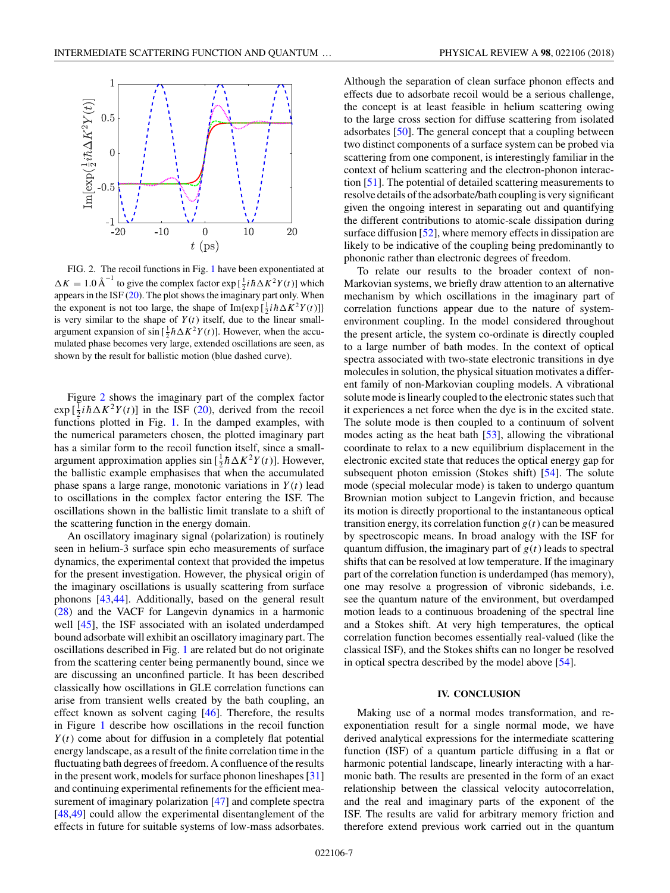

FIG. 2. The recoil functions in Fig. 1 have been exponentiated at  $\Delta K = 1.0 \text{ Å}^{-1}$  to give the complex factor exp  $\left[\frac{1}{2}i\hbar\Delta K^2Y(t)\right]$  which appears in the ISF  $(20)$ . The plot shows the imaginary part only. When the exponent is not too large, the shape of  $\text{Im}\{\exp\left[\frac{1}{2}i\hbar\Delta K^2Y(t)\right]\}$ is very similar to the shape of  $Y(t)$  itself, due to the linear smallargument expansion of  $\sin\left[\frac{1}{2}\hbar\Delta K^2Y(t)\right]$ . However, when the accumulated phase becomes very large, extended oscillations are seen, as shown by the result for ballistic motion (blue dashed curve).

Figure 2 shows the imaginary part of the complex factor  $\exp\left[\frac{1}{2}i\hbar\Delta K^2Y(t)\right]$  in the ISF (20), derived from the recoil functions plotted in Fig. 1. In the damped examples, with the numerical parameters chosen, the plotted imaginary part has a similar form to the recoil function itself, since a smallargument approximation applies  $\sin\left[\frac{1}{2}\hbar\Delta K^2Y(t)\right]$ . However, the ballistic example emphasises that when the accumulated phase spans a large range, monotonic variations in  $Y(t)$  lead to oscillations in the complex factor entering the ISF. The oscillations shown in the ballistic limit translate to a shift of the scattering function in the energy domain.

An oscillatory imaginary signal (polarization) is routinely seen in helium-3 surface spin echo measurements of surface dynamics, the experimental context that provided the impetus for the present investigation. However, the physical origin of the imaginary oscillations is usually scattering from surface phonons [43,44]. Additionally, based on the general result (28) and the VACF for Langevin dynamics in a harmonic well  $[45]$ , the ISF associated with an isolated underdamped bound adsorbate will exhibit an oscillatory imaginary part. The oscillations described in Fig. 1 are related but do not originate from the scattering center being permanently bound, since we are discussing an unconfined particle. It has been described classically how oscillations in GLE correlation functions can arise from transient wells created by the bath coupling, an effect known as solvent caging [46]. Therefore, the results in Figure 1 describe how oscillations in the recoil function *Y* (*t*) come about for diffusion in a completely flat potential energy landscape, as a result of the finite correlation time in the fluctuating bath degrees of freedom. A confluence of the results in the present work, models for surface phonon lineshapes [31] and continuing experimental refinements for the efficient measurement of imaginary polarization [47] and complete spectra [48,49] could allow the experimental disentanglement of the effects in future for suitable systems of low-mass adsorbates.

Although the separation of clean surface phonon effects and effects due to adsorbate recoil would be a serious challenge, the concept is at least feasible in helium scattering owing to the large cross section for diffuse scattering from isolated adsorbates [50]. The general concept that a coupling between two distinct components of a surface system can be probed via scattering from one component, is interestingly familiar in the context of helium scattering and the electron-phonon interaction [51]. The potential of detailed scattering measurements to resolve details of the adsorbate/bath coupling is very significant given the ongoing interest in separating out and quantifying the different contributions to atomic-scale dissipation during surface diffusion [52], where memory effects in dissipation are likely to be indicative of the coupling being predominantly to phononic rather than electronic degrees of freedom.

To relate our results to the broader context of non-Markovian systems, we briefly draw attention to an alternative mechanism by which oscillations in the imaginary part of correlation functions appear due to the nature of systemenvironment coupling. In the model considered throughout the present article, the system co-ordinate is directly coupled to a large number of bath modes. In the context of optical spectra associated with two-state electronic transitions in dye molecules in solution, the physical situation motivates a different family of non-Markovian coupling models. A vibrational solute mode is linearly coupled to the electronic states such that it experiences a net force when the dye is in the excited state. The solute mode is then coupled to a continuum of solvent modes acting as the heat bath [53], allowing the vibrational coordinate to relax to a new equilibrium displacement in the electronic excited state that reduces the optical energy gap for subsequent photon emission (Stokes shift) [54]. The solute mode (special molecular mode) is taken to undergo quantum Brownian motion subject to Langevin friction, and because its motion is directly proportional to the instantaneous optical transition energy, its correlation function  $g(t)$  can be measured by spectroscopic means. In broad analogy with the ISF for quantum diffusion, the imaginary part of *g*(*t*) leads to spectral shifts that can be resolved at low temperature. If the imaginary part of the correlation function is underdamped (has memory), one may resolve a progression of vibronic sidebands, i.e. see the quantum nature of the environment, but overdamped motion leads to a continuous broadening of the spectral line and a Stokes shift. At very high temperatures, the optical correlation function becomes essentially real-valued (like the classical ISF), and the Stokes shifts can no longer be resolved in optical spectra described by the model above [54].

#### **IV. CONCLUSION**

Making use of a normal modes transformation, and reexponentiation result for a single normal mode, we have derived analytical expressions for the intermediate scattering function (ISF) of a quantum particle diffusing in a flat or harmonic potential landscape, linearly interacting with a harmonic bath. The results are presented in the form of an exact relationship between the classical velocity autocorrelation, and the real and imaginary parts of the exponent of the ISF. The results are valid for arbitrary memory friction and therefore extend previous work carried out in the quantum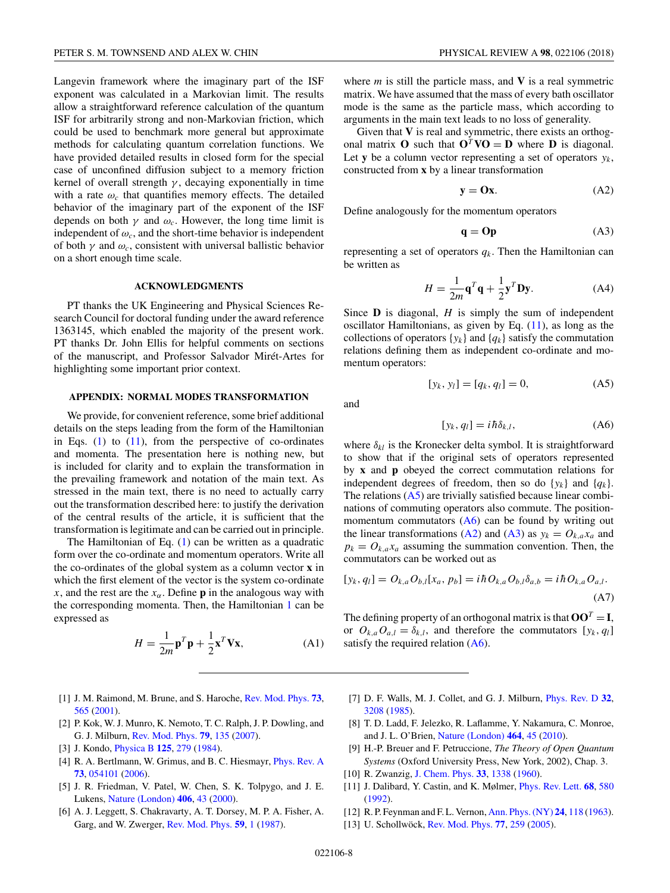Langevin framework where the imaginary part of the ISF exponent was calculated in a Markovian limit. The results allow a straightforward reference calculation of the quantum ISF for arbitrarily strong and non-Markovian friction, which could be used to benchmark more general but approximate methods for calculating quantum correlation functions. We have provided detailed results in closed form for the special case of unconfined diffusion subject to a memory friction kernel of overall strength  $\gamma$ , decaying exponentially in time with a rate  $\omega_c$  that quantifies memory effects. The detailed behavior of the imaginary part of the exponent of the ISF depends on both  $\gamma$  and  $\omega_c$ . However, the long time limit is independent of  $\omega_c$ , and the short-time behavior is independent of both  $\gamma$  and  $\omega_c$ , consistent with universal ballistic behavior on a short enough time scale.

#### **ACKNOWLEDGMENTS**

PT thanks the UK Engineering and Physical Sciences Research Council for doctoral funding under the award reference 1363145, which enabled the majority of the present work. PT thanks Dr. John Ellis for helpful comments on sections of the manuscript, and Professor Salvador Mirét-Artes for highlighting some important prior context.

#### **APPENDIX: NORMAL MODES TRANSFORMATION**

We provide, for convenient reference, some brief additional details on the steps leading from the form of the Hamiltonian in Eqs.  $(1)$  to  $(11)$ , from the perspective of co-ordinates and momenta. The presentation here is nothing new, but is included for clarity and to explain the transformation in the prevailing framework and notation of the main text. As stressed in the main text, there is no need to actually carry out the transformation described here: to justify the derivation of the central results of the article, it is sufficient that the transformation is legitimate and can be carried out in principle.

The Hamiltonian of Eq.  $(1)$  can be written as a quadratic form over the co-ordinate and momentum operators. Write all the co-ordinates of the global system as a column vector **x** in which the first element of the vector is the system co-ordinate *x*, and the rest are the  $x_\alpha$ . Define **p** in the analogous way with the corresponding momenta. Then, the Hamiltonian 1 can be expressed as

$$
H = \frac{1}{2m} \mathbf{p}^T \mathbf{p} + \frac{1}{2} \mathbf{x}^T \mathbf{V} \mathbf{x},
$$
 (A1)

- [1] J. M. Raimond, M. Brune, and S. Haroche, [Rev. Mod. Phys.](https://doi.org/10.1103/RevModPhys.73.565) **[73](https://doi.org/10.1103/RevModPhys.73.565)**, [565](https://doi.org/10.1103/RevModPhys.73.565) [\(2001\)](https://doi.org/10.1103/RevModPhys.73.565).
- [2] P. Kok, W. J. Munro, K. Nemoto, T. C. Ralph, J. P. Dowling, and G. J. Milburn, [Rev. Mod. Phys.](https://doi.org/10.1103/RevModPhys.79.135) **[79](https://doi.org/10.1103/RevModPhys.79.135)**, [135](https://doi.org/10.1103/RevModPhys.79.135) [\(2007\)](https://doi.org/10.1103/RevModPhys.79.135).
- [3] J. Kondo, [Physica B](https://doi.org/10.1016/0378-4363(84)90044-5) **[125](https://doi.org/10.1016/0378-4363(84)90044-5)**, [279](https://doi.org/10.1016/0378-4363(84)90044-5) [\(1984\)](https://doi.org/10.1016/0378-4363(84)90044-5).
- [4] R. A. Bertlmann, W. Grimus, and B. C. Hiesmayr, [Phys. Rev. A](https://doi.org/10.1103/PhysRevA.73.054101) **[73](https://doi.org/10.1103/PhysRevA.73.054101)**, [054101](https://doi.org/10.1103/PhysRevA.73.054101) [\(2006\)](https://doi.org/10.1103/PhysRevA.73.054101).
- [5] J. R. Friedman, V. Patel, W. Chen, S. K. Tolpygo, and J. E. Lukens, [Nature \(London\)](https://doi.org/10.1038/35017505) **[406](https://doi.org/10.1038/35017505)**, [43](https://doi.org/10.1038/35017505) [\(2000\)](https://doi.org/10.1038/35017505).
- [6] A. J. Leggett, S. Chakravarty, A. T. Dorsey, M. P. A. Fisher, A. Garg, and W. Zwerger, [Rev. Mod. Phys.](https://doi.org/10.1103/RevModPhys.59.1) **[59](https://doi.org/10.1103/RevModPhys.59.1)**, [1](https://doi.org/10.1103/RevModPhys.59.1) [\(1987\)](https://doi.org/10.1103/RevModPhys.59.1).

where  $m$  is still the particle mass, and  $V$  is a real symmetric matrix. We have assumed that the mass of every bath oscillator mode is the same as the particle mass, which according to arguments in the main text leads to no loss of generality.

Given that **V** is real and symmetric, there exists an orthogonal matrix **O** such that  $O^T$  **VO** = **D** where **D** is diagonal. Let **y** be a column vector representing a set of operators  $y_k$ , constructed from **x** by a linear transformation

$$
y = Ox.
$$
 (A2)

Define analogously for the momentum operators

$$
\mathbf{q} = \mathbf{O}\mathbf{p} \tag{A3}
$$

representing a set of operators *qk*. Then the Hamiltonian can be written as

$$
H = \frac{1}{2m}\mathbf{q}^T\mathbf{q} + \frac{1}{2}\mathbf{y}^T\mathbf{D}\mathbf{y}.
$$
 (A4)

Since **D** is diagonal, *H* is simply the sum of independent oscillator Hamiltonians, as given by Eq.  $(11)$ , as long as the collections of operators  $\{y_k\}$  and  $\{q_k\}$  satisfy the commutation relations defining them as independent co-ordinate and momentum operators:

$$
[y_k, y_l] = [q_k, q_l] = 0,
$$
 (A5)

and

$$
[y_k, q_l] = i\hbar \delta_{k,l}, \tag{A6}
$$

where  $\delta_{kl}$  is the Kronecker delta symbol. It is straightforward to show that if the original sets of operators represented by **x** and **p** obeyed the correct commutation relations for independent degrees of freedom, then so do  $\{y_k\}$  and  $\{q_k\}$ . The relations  $(A5)$  are trivially satisfied because linear combinations of commuting operators also commute. The positionmomentum commutators  $(A6)$  can be found by writing out the linear transformations (A2) and (A3) as  $y_k = O_{k,a}x_a$  and  $p_k = O_{k,a}x_a$  assuming the summation convention. Then, the commutators can be worked out as

$$
[y_k, q_l] = O_{k,a} O_{b,l}[x_a, p_b] = i\hbar O_{k,a} O_{b,l} \delta_{a,b} = i\hbar O_{k,a} O_{a,l}.
$$
\n(A7)

The defining property of an orthogonal matrix is that  $OO^T = I$ , or  $O_{k,a}O_{a,l} = \delta_{k,l}$ , and therefore the commutators  $[y_k, q_l]$ satisfy the required relation  $(A6)$ .

- [7] D. F. Walls, M. J. Collet, and G. J. Milburn, [Phys. Rev. D](https://doi.org/10.1103/PhysRevD.32.3208) **[32](https://doi.org/10.1103/PhysRevD.32.3208)**, [3208](https://doi.org/10.1103/PhysRevD.32.3208) [\(1985\)](https://doi.org/10.1103/PhysRevD.32.3208).
- [8] T. D. Ladd, F. Jelezko, R. Laflamme, Y. Nakamura, C. Monroe, and J. L. O'Brien, [Nature \(London\)](https://doi.org/10.1038/nature08812) **[464](https://doi.org/10.1038/nature08812)**, [45](https://doi.org/10.1038/nature08812) [\(2010\)](https://doi.org/10.1038/nature08812).
- [9] H.-P. Breuer and F. Petruccione, *The Theory of Open Quantum Systems* (Oxford University Press, New York, 2002), Chap. 3.
- [10] R. Zwanzig, [J. Chem. Phys.](https://doi.org/10.1063/1.1731409) **[33](https://doi.org/10.1063/1.1731409)**, [1338](https://doi.org/10.1063/1.1731409) [\(1960\)](https://doi.org/10.1063/1.1731409).
- [11] J. Dalibard, Y. Castin, and K. Mølmer, [Phys. Rev. Lett.](https://doi.org/10.1103/PhysRevLett.68.580) **[68](https://doi.org/10.1103/PhysRevLett.68.580)**, [580](https://doi.org/10.1103/PhysRevLett.68.580) [\(1992\)](https://doi.org/10.1103/PhysRevLett.68.580).
- [12] R. P. Feynman and F. L. Vernon, [Ann. Phys. \(NY\)](https://doi.org/10.1016/0003-4916(63)90068-X) **[24](https://doi.org/10.1016/0003-4916(63)90068-X)**, [118](https://doi.org/10.1016/0003-4916(63)90068-X) [\(1963\)](https://doi.org/10.1016/0003-4916(63)90068-X).
- [13] U. Schollwöck, [Rev. Mod. Phys.](https://doi.org/10.1103/RevModPhys.77.259) **[77](https://doi.org/10.1103/RevModPhys.77.259)**, [259](https://doi.org/10.1103/RevModPhys.77.259) [\(2005\)](https://doi.org/10.1103/RevModPhys.77.259).